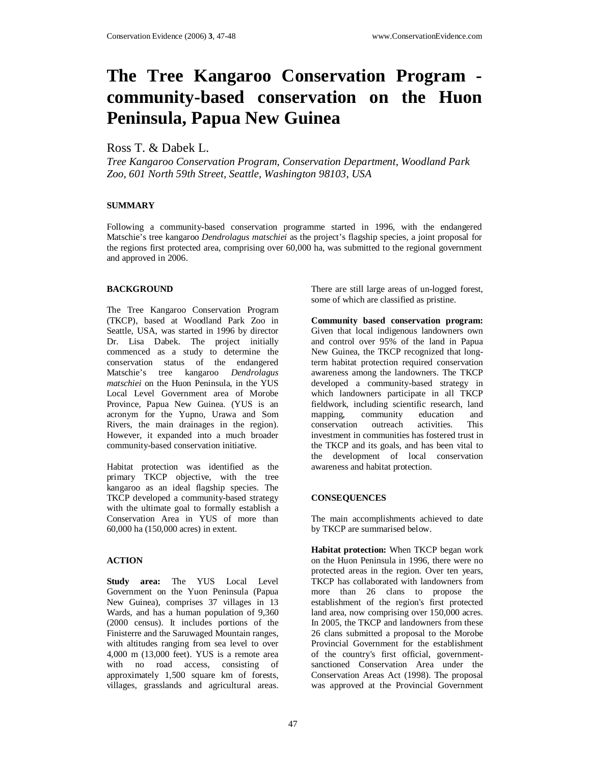# **The Tree Kangaroo Conservation Program community-based conservation on the Huon Peninsula, Papua New Guinea**

## Ross T. & Dabek L.

*Tree Kangaroo Conservation Program, Conservation Department, Woodland Park Zoo, 601 North 59th Street, Seattle, Washington 98103, USA* 

#### **SUMMARY**

Following a community-based conservation programme started in 1996, with the endangered Matschie's tree kangaroo *Dendrolagus matschiei* as the project's flagship species, a joint proposal for the regions first protected area, comprising over 60,000 ha, was submitted to the regional government and approved in 2006.

#### **BACKGROUND**

The Tree Kangaroo Conservation Program (TKCP), based at Woodland Park Zoo in Seattle, USA, was started in 1996 by director Dr. Lisa Dabek. The project initially commenced as a study to determine the conservation status of the endangered Matschie's tree kangaroo *Dendrolagus matschiei* on the Huon Peninsula, in the YUS Local Level Government area of Morobe Province, Papua New Guinea. (YUS is an acronym for the Yupno, Urawa and Som Rivers, the main drainages in the region). However, it expanded into a much broader community-based conservation initiative.

Habitat protection was identified as the primary TKCP objective, with the tree kangaroo as an ideal flagship species. The TKCP developed a community-based strategy with the ultimate goal to formally establish a Conservation Area in YUS of more than 60,000 ha (150,000 acres) in extent.

### **ACTION**

**Study area:** The YUS Local Level Government on the Yuon Peninsula (Papua New Guinea), comprises 37 villages in 13 Wards, and has a human population of 9,360 (2000 census). It includes portions of the Finisterre and the Saruwaged Mountain ranges, with altitudes ranging from sea level to over 4,000 m (13,000 feet). YUS is a remote area with no road access, consisting of approximately 1,500 square km of forests, villages, grasslands and agricultural areas.

There are still large areas of un-logged forest, some of which are classified as pristine.

**Community based conservation program:** Given that local indigenous landowners own and control over 95% of the land in Papua New Guinea, the TKCP recognized that longterm habitat protection required conservation awareness among the landowners. The TKCP developed a community-based strategy in which landowners participate in all TKCP fieldwork, including scientific research, land mapping, community education and conservation outreach activities. This investment in communities has fostered trust in the TKCP and its goals, and has been vital to the development of local conservation awareness and habitat protection.

#### **CONSEQUENCES**

The main accomplishments achieved to date by TKCP are summarised below.

**Habitat protection:** When TKCP began work on the Huon Peninsula in 1996, there were no protected areas in the region. Over ten years, TKCP has collaborated with landowners from more than 26 clans to propose the establishment of the region's first protected land area, now comprising over 150,000 acres. In 2005, the TKCP and landowners from these 26 clans submitted a proposal to the Morobe Provincial Government for the establishment of the country's first official, governmentsanctioned Conservation Area under the Conservation Areas Act (1998). The proposal was approved at the Provincial Government